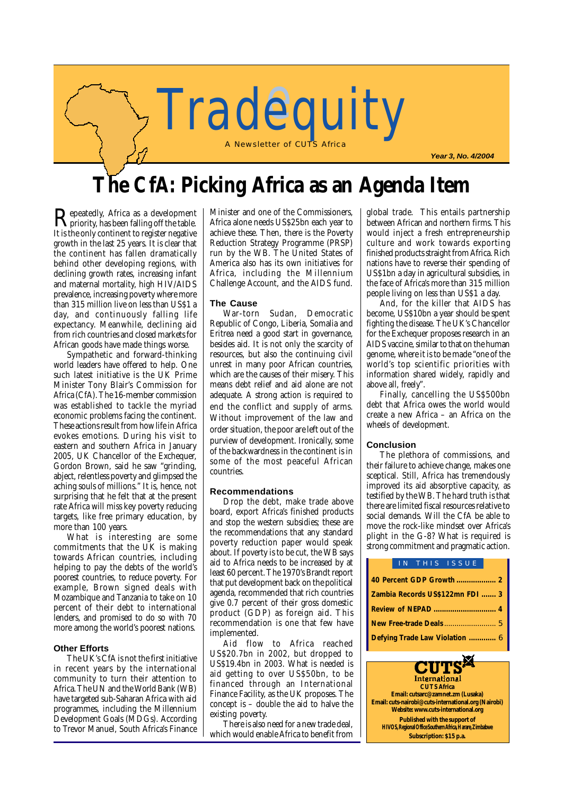

# **The CfA: Picking Africa as an Agenda Item**

 ${\bf R}$ epeatedly, Africa as a development<br>It is the only continent to register persitive It is the only continent to register negative growth in the last 25 years. It is clear that the continent has fallen dramatically behind other developing regions, with declining growth rates, increasing infant and maternal mortality, high HIV/AIDS prevalence, increasing poverty where more than 315 million live on less than US\$1 a day, and continuously falling life expectancy. Meanwhile, declining aid from rich countries and closed markets for African goods have made things worse.

Sympathetic and forward-thinking world leaders have offered to help. One such latest initiative is the UK Prime Minister Tony Blair's Commission for Africa (CfA). The 16-member commission was established to tackle the myriad economic problems facing the continent. These actions result from how life in Africa evokes emotions. During his visit to eastern and southern Africa in January 2005, UK Chancellor of the Exchequer. Gordon Brown, said he saw "grinding, abject, relentless poverty and glimpsed the aching souls of millions." It is, hence, not surprising that he felt that at the present rate Africa will miss key poverty reducing targets, like free primary education, by more than 100 years.

What is interesting are some commitments that the UK is making towards African countries, including helping to pay the debts of the world's poorest countries, to reduce poverty. For example, Brown signed deals with Mozambique and Tanzania to take on 10 percent of their debt to international lenders, and promised to do so with 70 more among the world's poorest nations.

#### **Other Efforts**

The UK's CfA is not the first initiative in recent years by the international community to turn their attention to Africa. The UN and the World Bank (WB) have targeted sub-Saharan Africa with aid programmes, including the Millennium Development Goals (MDGs). According to Trevor Manuel, South Africa's Finance Minister and one of the Commissioners, Africa alone needs US\$25bn each year to achieve these. Then, there is the Poverty Reduction Strategy Programme (PRSP) run by the WB. The United States of America also has its own initiatives for Africa, including the Millennium Challenge Account, and the AIDS fund.

#### **The Cause**

War-torn Sudan, Democratic Republic of Congo, Liberia, Somalia and Eritrea need a good start in governance, besides aid. It is not only the scarcity of resources, but also the continuing civil unrest in many poor African countries, which are the causes of their misery. This means debt relief and aid alone are not adequate. A strong action is required to end the conflict and supply of arms. Without improvement of the law and order situation, the poor are left out of the purview of development. Ironically, some of the backwardness in the continent is in some of the most peaceful African countries.

#### **Recommendations**

Drop the debt, make trade above board, export Africa's finished products and stop the western subsidies; these are the recommendations that any standard poverty reduction paper would speak about. If poverty is to be cut, the WB says aid to Africa needs to be increased by at least 60 percent. The 1970's Brandt report that put development back on the political agenda, recommended that rich countries give 0.7 percent of their gross domestic product (GDP) as foreign aid. This recommendation is one that few have implemented.

Aid flow to Africa reached US\$20.7bn in 2002, but dropped to US\$19.4bn in 2003. What is needed is aid getting to over US\$50bn, to be financed through an International Finance Facility, as the UK proposes. The concept is – double the aid to halve the existing poverty.

There is also need for a new trade deal, which would enable Africa to benefit from global trade. This entails partnership between African and northern firms. This would inject a fresh entrepreneurship culture and work towards exporting finished products straight from Africa. Rich nations have to reverse their spending of US\$1bn a day in agricultural subsidies, in the face of Africa's more than 315 million people living on less than US\$1 a day.

And, for the killer that AIDS has become, US\$10bn a year should be spent fighting the disease. The UK's Chancellor for the Exchequer proposes research in an AIDS vaccine, similar to that on the human genome, where it is to be made "one of the world's top scientific priorities with information shared widely, rapidly and above all, freely".

Finally, cancelling the US\$500bn debt that Africa owes the world would create a new Africa – an Africa on the wheels of development.

#### **Conclusion**

The plethora of commissions, and their failure to achieve change, makes one sceptical. Still, Africa has tremendously improved its aid absorptive capacity, as testified by the WB. The hard truth is that there are limited fiscal resources relative to social demands. Will the CfA be able to move the rock-like mindset over Africa's plight in the G-8? What is required is strong commitment and pragmatic action.

|                                 |  |  | IN THIS ISSUE |  |
|---------------------------------|--|--|---------------|--|
|                                 |  |  |               |  |
| Zambia Records US\$122mn FDI  3 |  |  |               |  |
|                                 |  |  |               |  |
|                                 |  |  |               |  |
| Defying Trade Law Violation  6  |  |  |               |  |

International **CUTS Africa Email: cutsarc@zamnet.zm (Lusaka) Email: cuts-nairobi@cuts-international.org (Nairobi) Website: www.cuts-international.org Published with the support of HIVOS, Regional Office Southern Africa, Harare, Zimbabwe Subscription: \$15 p.a.**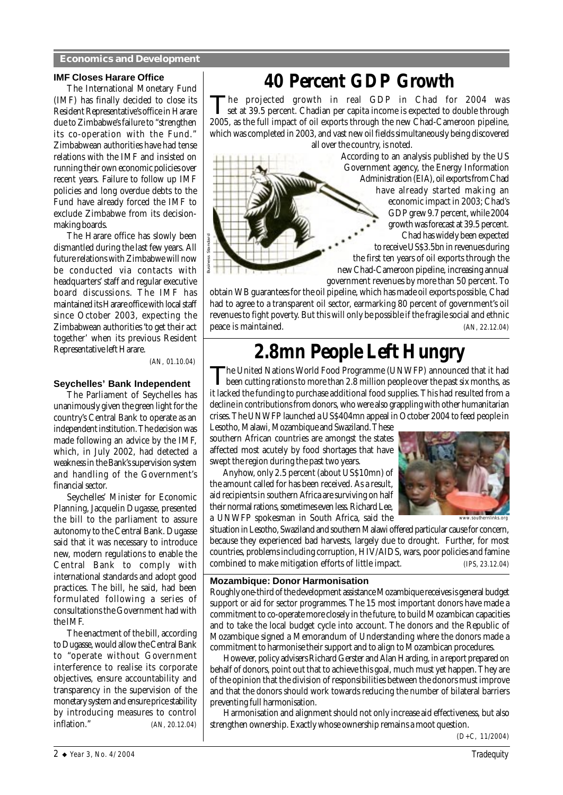#### **Economics and Development**

#### **IMF Closes Harare Office**

The International Monetary Fund (IMF) has finally decided to close its Resident Representative's office in Harare due to Zimbabwe's failure to "strengthen its co-operation with the Fund." Zimbabwean authorities have had tense relations with the IMF and insisted on running their own economic policies over recent years. Failure to follow up IMF policies and long overdue debts to the Fund have already forced the IMF to exclude Zimbabwe from its decisionmaking boards.

The Harare office has slowly been dismantled during the last few years. All future relations with Zimbabwe will now be conducted via contacts with headquarters' staff and regular executive board discussions. The IMF has maintained its Harare office with local staff since October 2003, expecting the Zimbabwean authorities 'to get their act together' when its previous Resident Representative left Harare.

 *(AN, 01.10.04)*

Business Standard

#### **Seychelles' Bank Independent**

The Parliament of Seychelles has unanimously given the green light for the country's Central Bank to operate as an independent institution. The decision was made following an advice by the IMF, which, in July 2002, had detected a weakness in the Bank's supervision system and handling of the Government's financial sector.

Seychelles' Minister for Economic Planning, Jacquelin Dugasse, presented the bill to the parliament to assure autonomy to the Central Bank. Dugasse said that it was necessary to introduce new, modern regulations to enable the Central Bank to comply with international standards and adopt good practices. The bill, he said, had been formulated following a series of consultations the Government had with the IMF.

The enactment of the bill, according to Dugasse, would allow the Central Bank to "operate without Government interference to realise its corporate objectives, ensure accountability and transparency in the supervision of the monetary system and ensure price stability by introducing measures to control<br>inflation."  $(AN. 20.12.04)$ inflation." *(AN, 20.12.04)*

# **40 Percent GDP Growth**

The projected growth in real GDP in Chad for 2004 was set at 39.5 percent. Chadian per capita income is expected to double through 2005, as the full impact of oil exports through the new Chad-Cameroon pipeline, which was completed in 2003, and vast new oil fields simultaneously being discovered all over the country, is noted.

According to an analysis published by the US Government agency, the Energy Information Administration (EIA), oil exports from Chad have already started making an economic impact in 2003; Chad's GDP grew 9.7 percent, while 2004 growth was forecast at 39.5 percent. Chad has widely been expected to receive US\$3.5bn in revenues during the first ten years of oil exports through the new Chad-Cameroon pipeline, increasing annual government revenues by more than 50 percent. To

obtain WB guarantees for the oil pipeline, which has made oil exports possible, Chad had to agree to a transparent oil sector, earmarking 80 percent of government's oil revenues to fight poverty. But this will only be possible if the fragile social and ethnic peace is maintained. *(AN, 22.12.04)*

# **2.8mn People Left Hungry**

The United Nations World Food Programme (UNWFP) announced that it had been cutting rations to more than 2.8 million people over the past six months, as it lacked the funding to purchase additional food supplies. This had resulted from a decline in contributions from donors, who were also grappling with other humanitarian crises. The UNWFP launched a US\$404mn appeal in October 2004 to feed people in

Lesotho, Malawi, Mozambique and Swaziland. These southern African countries are amongst the states affected most acutely by food shortages that have swept the region during the past two years.

Anyhow, only 2.5 percent (about US\$10mn) of the amount called for has been received. As a result, aid recipients in southern Africa are surviving on half their normal rations, sometimes even less. Richard Lee, a UNWFP spokesman in South Africa, said the



situation in Lesotho, Swaziland and southern Malawi offered particular cause for concern, because they experienced bad harvests, largely due to drought. Further, for most countries, problems including corruption, HIV/AIDS, wars, poor policies and famine combined to make mitigation efforts of little impact*. (IPS, 23.12.04)*

#### **Mozambique: Donor Harmonisation**

Roughly one-third of the development assistance Mozambique receives is general budget support or aid for sector programmes. The 15 most important donors have made a commitment to co-operate more closely in the future, to build Mozambican capacities and to take the local budget cycle into account. The donors and the Republic of Mozambique signed a Memorandum of Understanding where the donors made a commitment to harmonise their support and to align to Mozambican procedures.

However, policy advisers Richard Gerster and Alan Harding, in a report prepared on behalf of donors, point out that to achieve this goal, much must yet happen. They are of the opinion that the division of responsibilities between the donors must improve and that the donors should work towards reducing the number of bilateral barriers preventing full harmonisation.

Harmonisation and alignment should not only increase aid effectiveness, but also strengthen ownership. Exactly whose ownership remains a moot question.

*(D+C, 11/2004)*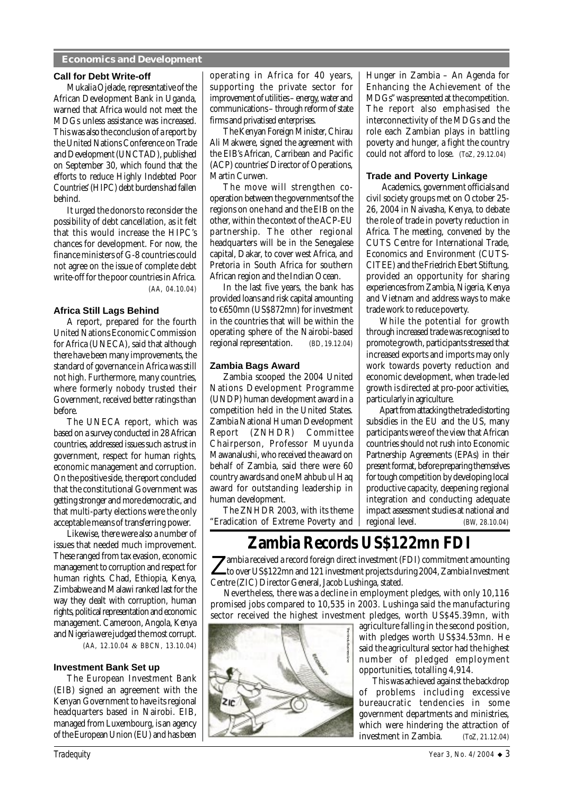#### **Economics and Development**

#### **Call for Debt Write-off**

Mukalia Ojelade, representative of the African Development Bank in Uganda, warned that Africa would not meet the MDGs unless assistance was increased. This was also the conclusion of a report by the United Nations Conference on Trade and Development (UNCTAD), published on September 30, which found that the efforts to reduce Highly Indebted Poor Countries' (HIPC) debt burdens had fallen behind.

It urged the donors to reconsider the possibility of debt cancellation, as it felt that this would increase the HIPC's chances for development. For now, the finance ministers of G-8 countries could not agree on the issue of complete debt write-off for the poor countries in Africa*. (AA, 04.10.04)*

**Africa Still Lags Behind** A report, prepared for the fourth United Nations Economic Commission for Africa (UNECA), said that although there have been many improvements, the standard of governance in Africa was still not high. Furthermore, many countries, where formerly nobody trusted their Government, received better ratings than before.

The UNECA report, which was based on a survey conducted in 28 African countries, addressed issues such as trust in government, respect for human rights, economic management and corruption. On the positive side, the report concluded that the constitutional Government was getting stronger and more democratic, and that multi-party elections were the only acceptable means of transferring power.

Likewise, there were also a number of issues that needed much improvement. These ranged from tax evasion, economic management to corruption and respect for human rights. Chad, Ethiopia, Kenya, Zimbabwe and Malawi ranked last for the way they dealt with corruption, human rights, political representation and economic management. Cameroon, Angola, Kenya and Nigeria were judged the most corrupt. *(AA, 12.10.04 & BBCN, 13.10.04)*

#### **Investment Bank Set up**

The European Investment Bank (EIB) signed an agreement with the Kenyan Government to have its regional headquarters based in Nairobi. EIB, managed from Luxembourg, is an agency of the European Union (EU) and has been operating in Africa for 40 years, supporting the private sector for improvement of utilities – energy, water and communications – through reform of state firms and privatised enterprises.

The Kenyan Foreign Minister, Chirau Ali Makwere, signed the agreement with the EIB's African, Carribean and Pacific (ACP) countries' Director of Operations, Martin Curwen.

The move will strengthen cooperation between the governments of the regions on one hand and the EIB on the other, within the context of the ACP-EU partnership. The other regional headquarters will be in the Senegalese capital, Dakar, to cover west Africa, and Pretoria in South Africa for southern African region and the Indian Ocean.

In the last five years, the bank has provided loans and risk capital amounting to €650mn (US\$872mn) for investment in the countries that will be within the operating sphere of the Nairobi-based regional representation. *(BD, 19.12.04)*

#### **Zambia Bags Award**

Zambia scooped the 2004 United Nations Development Programme (UNDP) human development award in a competition held in the United States. Zambia National Human Development Report (ZNHDR) Chairperson, Professor Muyunda Mawanalushi, who received the award on behalf of Zambia, said there were 60 country awards and one Mahbub ul Haq award for outstanding leadership in human development.

The ZNHDR 2003, with its theme "Eradication of Extreme Poverty and Hunger in Zambia – An Agenda for Enhancing the Achievement of the MDGs" was presented at the competition. The report also emphasised the interconnectivity of the MDGs and the role each Zambian plays in battling poverty and hunger, a fight the country could not afford to lose. *(ToZ, 29.12.04)*

#### **Trade and Poverty Linkage**

 Academics, government officials and civil society groups met on October 25- 26, 2004 in Naivasha, Kenya, to debate the role of trade in poverty reduction in Africa. The meeting, convened by the CUTS Centre for International Trade, Economics and Environment (CUTS-CITEE) and the Friedrich Ebert Stiftung, provided an opportunity for sharing experiences from Zambia, Nigeria, Kenya and Vietnam and address ways to make trade work to reduce poverty.

While the potential for growth through increased trade was recognised to promote growth, participants stressed that increased exports and imports may only work towards poverty reduction and economic development, when trade-led growth is directed at pro-poor activities, particularly in agriculture.

Apart from attacking the trade distorting subsidies in the EU and the US, many participants were of the view that African countries should not rush into Economic Partnership Agreements (EPAs) in their present format, before preparing themselves for tough competition by developing local productive capacity, deepening regional integration and conducting adequate impact assessment studies at national and regional level. *(BW, 28.10.04)*

## **Zambia Records US\$122mn FDI**

Zambia received a record foreign direct investment (FDI) commitment amounting<br>to over US\$122mn and 121 investment. to over US\$122mn and 121 investment projects during 2004, Zambia Investment Centre (ZIC) Director General, Jacob Lushinga, stated.

Nevertheless, there was a decline in employment pledges, with only 10,116 promised jobs compared to 10,535 in 2003. Lushinga said the manufacturing sector received the highest investment pledges, worth US\$45.39mn, with



agriculture falling in the second position, with pledges worth US\$34.53mn. He said the agricultural sector had the highest number of pledged employment opportunities, totalling 4,914.

This was achieved against the backdrop of problems including excessive bureaucratic tendencies in some government departments and ministries, which were hindering the attraction of investment in Zambia. *(ToZ, 21.12.04)*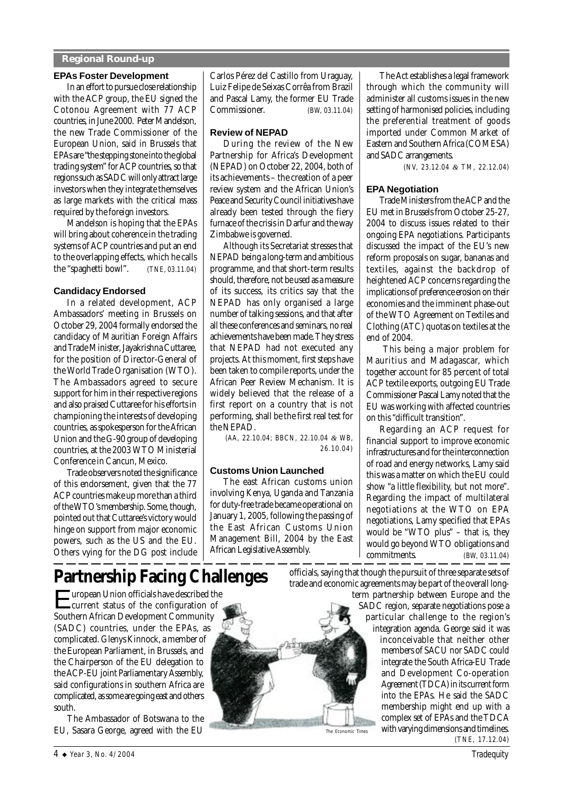#### **Regional Round-up**

#### **EPAs Foster Development**

In an effort to pursue close relationship with the ACP group, the EU signed the Cotonou Agreement with 77 ACP countries, in June 2000. Peter Mandelson, the new Trade Commissioner of the European Union, said in Brussels that EPAs are "the stepping stone into the global trading system" for ACP countries, so that regions such as SADC will only attract large investors when they integrate themselves as large markets with the critical mass required by the foreign investors.

Mandelson is hoping that the EPAs will bring about coherence in the trading systems of ACP countries and put an end to the overlapping effects, which he calls the "spaghetti bowl". *(TNE, 03.11.04)*

#### **Candidacy Endorsed**

In a related development, ACP Ambassadors' meeting in Brussels on October 29, 2004 formally endorsed the candidacy of Mauritian Foreign Affairs and Trade Minister, Jayakrishna Cuttaree, for the position of Director-General of the World Trade Organisation (WTO). The Ambassadors agreed to secure support for him in their respective regions and also praised Cuttaree for his efforts in championing the interests of developing countries, as spokesperson for the African Union and the G-90 group of developing countries, at the 2003 WTO Ministerial Conference in Cancun, Mexico.

Trade observers noted the significance of this endorsement, given that the 77 ACP countries make up more than a third of the WTO's membership. Some, though, pointed out that Cuttaree's victory would hinge on support from major economic powers, such as the US and the EU. Others vying for the DG post include Carlos Pérez del Castillo from Uraguay, Luiz Felipe de Seixas Corrêa from Brazil and Pascal Lamy, the former EU Trade Commissioner. *(BW, 03.11.04)*

#### **Review of NEPAD**

During the review of the New Partnership for Africa's Development (NEPAD) on October 22, 2004, both of its achievements – the creation of a peer review system and the African Union's Peace and Security Council initiatives have already been tested through the fiery furnace of the crisis in Darfur and the way Zimbabwe is governed.

Although its Secretariat stresses that NEPAD being a long-term and ambitious programme, and that short-term results should, therefore, not be used as a measure of its success, its critics say that the NEPAD has only organised a large number of talking sessions, and that after all these conferences and seminars, no real achievements have been made. They stress that NEPAD had not executed any projects. At this moment, first steps have been taken to compile reports, under the African Peer Review Mechanism. It is widely believed that the release of a first report on a country that is not performing, shall be the first real test for the NEPAD.

*(AA, 22.10.04; BBCN, 22.10.04 & WB, 26.10.04)*

#### **Customs Union Launched**

The east African customs union involving Kenya, Uganda and Tanzania for duty-free trade became operational on January 1, 2005, following the passing of the East African Customs Union Management Bill, 2004 by the East African Legislative Assembly.

The Act establishes a legal framework through which the community will administer all customs issues in the new setting of harmonised policies, including the preferential treatment of goods imported under Common Market of Eastern and Southern Africa (COMESA) and SADC arrangements.

*(NV, 23.12.04 & TM, 22.12.04)*

#### **EPA Negotiation**

Trade Ministers from the ACP and the EU met in Brussels from October 25-27, 2004 to discuss issues related to their ongoing EPA negotiations. Participants discussed the impact of the EU's new reform proposals on sugar, bananas and textiles, against the backdrop of heightened ACP concerns regarding the implications of preference erosion on their economies and the imminent phase-out of the WTO Agreement on Textiles and Clothing (ATC) quotas on textiles at the end of 2004.

 This being a major problem for Mauritius and Madagascar, which together account for 85 percent of total ACP textile exports, outgoing EU Trade Commissioner Pascal Lamy noted that the EU was working with affected countries on this "difficult transition".

Regarding an ACP request for financial support to improve economic infrastructures and for the interconnection of road and energy networks, Lamy said this was a matter on which the EU could show "a little flexibility, but not more". Regarding the impact of multilateral negotiations at the WTO on EPA negotiations, Lamy specified that EPAs would be "WTO plus" – that is, they would go beyond WTO obligations and commitments. *(BW, 03.11.04)*

# **Partnership Facing Challenges**

European Union officials have described the current status of the configuration of Southern African Development Community (SADC) countries, under the EPAs, as complicated. Glenys Kinnock, a member of the European Parliament, in Brussels, and the Chairperson of the EU delegation to the ACP-EU joint Parliamentary Assembly, said configurations in southern Africa are complicated, as some are going east and others south.

The Ambassador of Botswana to the EU, Sasara George, agreed with the EU



The Economic Times

officials, saying that though the pursuit of three separate sets of trade and economic agreements may be part of the overall long-

term partnership between Europe and the SADC region, separate negotiations pose a particular challenge to the region's integration agenda. George said it was inconceivable that neither other members of SACU nor SADC could integrate the South Africa-EU Trade and Development Co-operation Agreement (TDCA) in its current form into the EPAs. He said the SADC membership might end up with a complex set of EPAs and the TDCA with varying dimensions and timelines. *(TNE, 17.12.04)*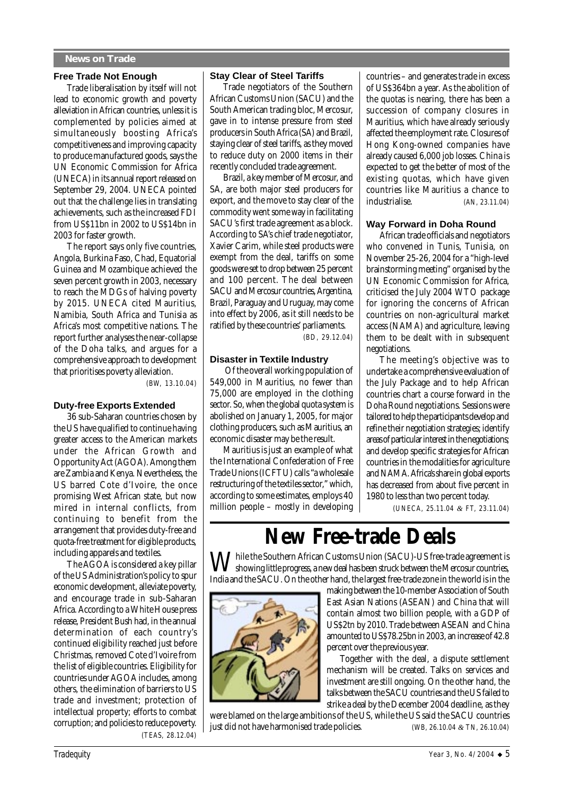#### **News on Trade**

#### **Free Trade Not Enough**

Trade liberalisation by itself will not lead to economic growth and poverty alleviation in African countries, unless it is complemented by policies aimed at simultaneously boosting Africa's competitiveness and improving capacity to produce manufactured goods, says the UN Economic Commission for Africa (UNECA) in its annual report released on September 29, 2004. UNECA pointed out that the challenge lies in translating achievements, such as the increased FDI from US\$11bn in 2002 to US\$14bn in 2003 for faster growth.

The report says only five countries, Angola, Burkina Faso, Chad, Equatorial Guinea and Mozambique achieved the seven percent growth in 2003, necessary to reach the MDGs of halving poverty by 2015. UNECA cited Mauritius, Namibia, South Africa and Tunisia as Africa's most competitive nations. The report further analyses the near-collapse of the Doha talks, and argues for a comprehensive approach to development that prioritises poverty alleviation.

*(BW, 13.10.04)*

#### **Duty-free Exports Extended**

36 sub-Saharan countries chosen by the US have qualified to continue having greater access to the American markets under the African Growth and Opportunity Act (AGOA). Among them are Zambia and Kenya. Nevertheless, the US barred Cote d'Ivoire, the once promising West African state, but now mired in internal conflicts, from continuing to benefit from the arrangement that provides duty-free and quota-free treatment for eligible products, including apparels and textiles.

The AGOA is considered a key pillar of the US Administration's policy to spur economic development, alleviate poverty, and encourage trade in sub-Saharan Africa. According to a White House press release, President Bush had, in the annual determination of each country's continued eligibility reached just before Christmas, removed Cote d'Ivoire from the list of eligible countries. Eligibility for countries under AGOA includes, among others, the elimination of barriers to US trade and investment; protection of intellectual property; efforts to combat corruption; and policies to reduce poverty.  *(TEAS, 28.12.04)*

#### **Stay Clear of Steel Tariffs**

Trade negotiators of the Southern African Customs Union (SACU) and the South American trading bloc, Mercosur, gave in to intense pressure from steel producers in South Africa (SA) and Brazil, staying clear of steel tariffs, as they moved to reduce duty on 2000 items in their recently concluded trade agreement.

Brazil, a key member of Mercosur, and SA, are both major steel producers for export, and the move to stay clear of the commodity went some way in facilitating SACU's first trade agreement as a block. According to SA's chief trade negotiator, Xavier Carim, while steel products were exempt from the deal, tariffs on some goods were set to drop between 25 percent and 100 percent. The deal between SACU and Mercosur countries, Argentina, Brazil, Paraguay and Uruguay, may come into effect by 2006, as it still needs to be ratified by these countries' parliaments.

*(BD, 29.12.04)*

#### **Disaster in Textile Industry**

 Of the overall working population of 549,000 in Mauritius, no fewer than 75,000 are employed in the clothing sector. So, when the global quota system is abolished on January 1, 2005, for major clothing producers, such as Mauritius, an economic disaster may be the result.

Mauritius is just an example of what the International Confederation of Free Trade Unions (ICFTU) calls "a wholesale restructuring of the textiles sector," which, according to some estimates, employs 40 million people – mostly in developing countries – and generates trade in excess of US\$364bn a year. As the abolition of the quotas is nearing, there has been a succession of company closures in Mauritius, which have already seriously affected the employment rate. Closures of Hong Kong-owned companies have already caused 6,000 job losses. China is expected to get the better of most of the existing quotas, which have given countries like Mauritius a chance to industrialise. *(AN, 23.11.04)*

#### **Way Forward in Doha Round**

African trade officials and negotiators who convened in Tunis, Tunisia, on November 25-26, 2004 for a "high-level brainstorming meeting" organised by the UN Economic Commission for Africa, criticised the July 2004 WTO package for ignoring the concerns of African countries on non-agricultural market access (NAMA) and agriculture, leaving them to be dealt with in subsequent negotiations.

The meeting's objective was to undertake a comprehensive evaluation of the July Package and to help African countries chart a course forward in the Doha Round negotiations. Sessions were tailored to help the participants develop and refine their negotiation strategies; identify areas of particular interest in the negotiations; and develop specific strategies for African countries in the modalities for agriculture and NAMA. Africa's share in global exports has decreased from about five percent in 1980 to less than two percent today.

 *(UNECA, 25.11.04 & FT, 23.11.04)*

# **New Free-trade Deals**

 $\bm{M}$  hile the Southern African Customs Union (SACU)-US free-trade agreement is showing little progress, a new deal has been struck between the Mercosur countries, India and the SACU. On the other hand, the largest free-trade zone in the world is in the



making between the 10-member Association of South East Asian Nations (ASEAN) and China that will contain almost two billion people, with a GDP of US\$2tn by 2010. Trade between ASEAN and China amounted to US\$78.25bn in 2003, an increase of 42.8 percent over the previous year.

Together with the deal, a dispute settlement mechanism will be created. Talks on services and investment are still ongoing. On the other hand, the talks between the SACU countries and the US failed to strike a deal by the December 2004 deadline, as they

were blamed on the large ambitions of the US, while the US said the SACU countries just did not have harmonised trade policies*. (WB, 26.10.04 & TN, 26.10.04)*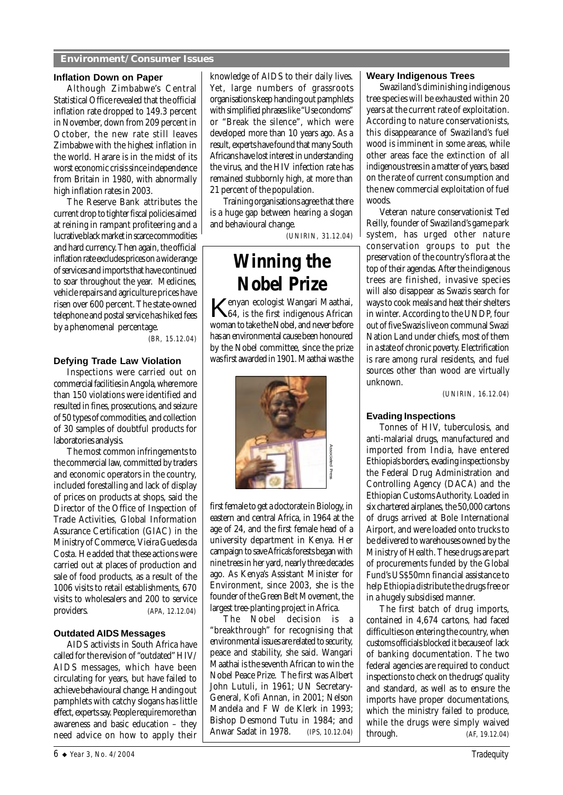#### **Environment/Consumer Issues**

#### **Inflation Down on Paper**

Although Zimbabwe's Central Statistical Office revealed that the official inflation rate dropped to 149.3 percent in November, down from 209 percent in October, the new rate still leaves Zimbabwe with the highest inflation in the world. Harare is in the midst of its worst economic crisis since independence from Britain in 1980, with abnormally high inflation rates in 2003.

The Reserve Bank attributes the current drop to tighter fiscal policies aimed at reining in rampant profiteering and a lucrative black market in scarce commodities and hard currency. Then again, the official inflation rate excludes prices on a wide range of services and imports that have continued to soar throughout the year. Medicines, vehicle repairs and agriculture prices have risen over 600 percent. The state-owned telephone and postal service has hiked fees by a phenomenal percentage.

*(BR, 15.12.04)*

#### **Defying Trade Law Violation**

Inspections were carried out on commercial facilities in Angola, where more than 150 violations were identified and resulted in fines, prosecutions, and seizure of 50 types of commodities, and collection of 30 samples of doubtful products for laboratories analysis.

The most common infringements to the commercial law, committed by traders and economic operators in the country, included forestalling and lack of display of prices on products at shops, said the Director of the Office of Inspection of Trade Activities, Global Information Assurance Certification (GIAC) in the Ministry of Commerce, Vieira Guedes da Costa. He added that these actions were carried out at places of production and sale of food products, as a result of the 1006 visits to retail establishments, 670 visits to wholesalers and 200 to service providers. *(APA, 12.12.04)*

#### **Outdated AIDS Messages**

AIDS activists in South Africa have called for the revision of "outdated" HIV/ AIDS messages, which have been circulating for years, but have failed to achieve behavioural change. Handing out pamphlets with catchy slogans has little effect, experts say. People require more than awareness and basic education – they need advice on how to apply their

knowledge of AIDS to their daily lives. Yet, large numbers of grassroots organisations keep handing out pamphlets with simplified phrases like "Use condoms" or "Break the silence", which were developed more than 10 years ago. As a result, experts have found that many South Africans have lost interest in understanding the virus, and the HIV infection rate has remained stubbornly high, at more than 21 percent of the population.

Training organisations agree that there is a huge gap between hearing a slogan and behavioural change*.*

*(UNIRIN, 31.12.04)*

## **Winning the Nobel Prize**

Kenyan ecologist Wangari Maathai, 64, is the first indigenous African woman to take the Nobel, and never before has an environmental cause been honoured by the Nobel committee, since the prize was first awarded in 1901. Maathai was the



first female to get a doctorate in Biology, in eastern and central Africa, in 1964 at the age of 24, and the first female head of a university department in Kenya. Her campaign to save Africa's forests began with nine trees in her yard, nearly three decades ago. As Kenya's Assistant Minister for Environment, since 2003, she is the founder of the Green Belt Movement, the largest tree-planting project in Africa.

The Nobel decision is a "breakthrough" for recognising that environmental issues are related to security, peace and stability, she said. Wangari Maathai is the seventh African to win the Nobel Peace Prize. The first was Albert John Lutuli, in 1961; UN Secretary-General, Kofi Annan, in 2001; Nelson Mandela and F W de Klerk in 1993; Bishop Desmond Tutu in 1984; and First female to get a doctorate in Biology, in<br>eastern and central Africa, in 1964 at the<br>age of 24, and the first female head of a<br>university department in Kenya. Her<br>campaign to save Africa's forests began with<br>nine tree

#### **Weary Indigenous Trees**

Swaziland's diminishing indigenous tree species will be exhausted within 20 years at the current rate of exploitation. According to nature conservationists, this disappearance of Swaziland's fuel wood is imminent in some areas, while other areas face the extinction of all indigenous trees in a matter of years, based on the rate of current consumption and the new commercial exploitation of fuel woods.

Veteran nature conservationist Ted Reilly, founder of Swaziland's game park system, has urged other nature conservation groups to put the preservation of the country's flora at the top of their agendas. After the indigenous trees are finished, invasive species will also disappear as Swazis search for ways to cook meals and heat their shelters in winter. According to the UNDP, four out of five Swazis live on communal Swazi Nation Land under chiefs, most of them in a state of chronic poverty. Electrification is rare among rural residents, and fuel sources other than wood are virtually unknown.

*(UNIRIN, 16.12.04)*

#### **Evading Inspections**

Tonnes of HIV, tuberculosis, and anti-malarial drugs, manufactured and imported from India, have entered Ethiopia's borders, evading inspections by the Federal Drug Administration and Controlling Agency (DACA) and the Ethiopian Customs Authority. Loaded in six chartered airplanes, the 50,000 cartons of drugs arrived at Bole International Airport, and were loaded onto trucks to be delivered to warehouses owned by the Ministry of Health. These drugs are part of procurements funded by the Global Fund's US\$50mn financial assistance to help Ethiopia distribute the drugs free or in a hugely subsidised manner.

The first batch of drug imports, contained in 4,674 cartons, had faced difficulties on entering the country, when customs officials blocked it because of lack of banking documentation. The two federal agencies are required to conduct inspections to check on the drugs' quality and standard, as well as to ensure the imports have proper documentations, which the ministry failed to produce, while the drugs were simply waived through. *(AF, 19.12.04)*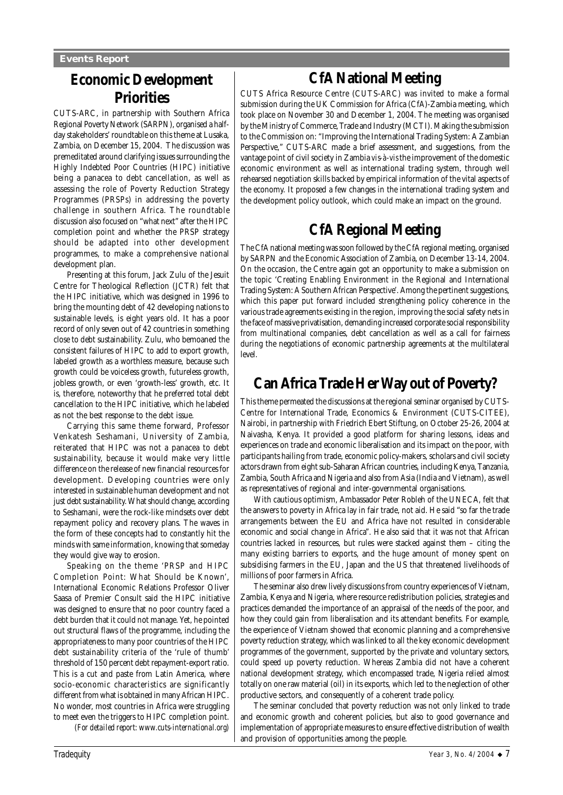### **Economic Development Priorities**

CUTS-ARC, in partnership with Southern Africa Regional Poverty Network (SARPN), organised a halfday stakeholders' roundtable on this theme at Lusaka, Zambia, on December 15, 2004. The discussion was premeditated around clarifying issues surrounding the Highly Indebted Poor Countries (HIPC) initiative being a panacea to debt cancellation, as well as assessing the role of Poverty Reduction Strategy Programmes (PRSPs) in addressing the poverty challenge in southern Africa. The roundtable discussion also focused on "what next" after the HIPC completion point and whether the PRSP strategy should be adapted into other development programmes, to make a comprehensive national development plan.

Presenting at this forum, Jack Zulu of the Jesuit Centre for Theological Reflection (JCTR) felt that the HIPC initiative, which was designed in 1996 to bring the mounting debt of 42 developing nations to sustainable levels, is eight years old. It has a poor record of only seven out of 42 countries in something close to debt sustainability. Zulu, who bemoaned the consistent failures of HIPC to add to export growth, labeled growth as a worthless measure, because such growth could be voiceless growth, futureless growth, jobless growth, or even 'growth-less' growth, etc. It is, therefore, noteworthy that he preferred total debt cancellation to the HIPC initiative, which he labeled as not the best response to the debt issue.

Carrying this same theme forward, Professor Venkatesh Seshamani, University of Zambia, reiterated that HIPC was not a panacea to debt sustainability, because it would make very little difference on the release of new financial resources for development. Developing countries were only interested in sustainable human development and not just debt sustainability. What should change, according to Seshamani, were the rock-like mindsets over debt repayment policy and recovery plans. The waves in the form of these concepts had to constantly hit the minds with same information, knowing that someday they would give way to erosion.

Speaking on the theme 'PRSP and HIPC Completion Point: What Should be Known', International Economic Relations Professor Oliver Saasa of Premier Consult said the HIPC initiative was designed to ensure that no poor country faced a debt burden that it could not manage. Yet, he pointed out structural flaws of the programme, including the appropriateness to many poor countries of the HIPC debt sustainability criteria of the 'rule of thumb' threshold of 150 percent debt repayment-export ratio. This is a cut and paste from Latin America, where socio-economic characteristics are significantly different from what is obtained in many African HIPC. No wonder, most countries in Africa were struggling to meet even the triggers to HIPC completion point. *(For detailed report: www.cuts-international.org)*

**CfA National Meeting**

CUTS Africa Resource Centre (CUTS-ARC) was invited to make a formal submission during the UK Commission for Africa (CfA)-Zambia meeting, which took place on November 30 and December 1, 2004. The meeting was organised by the Ministry of Commerce, Trade and Industry (MCTI). Making the submission to the Commission on: "Improving the International Trading System: A Zambian Perspective," CUTS-ARC made a brief assessment, and suggestions, from the vantage point of civil society in Zambia *vis-à-vis* the improvement of the domestic economic environment as well as international trading system, through well rehearsed negotiation skills backed by empirical information of the vital aspects of the economy. It proposed a few changes in the international trading system and the development policy outlook, which could make an impact on the ground.

### **CfA Regional Meeting**

The CfA national meeting was soon followed by the CfA regional meeting, organised by SARPN and the Economic Association of Zambia, on December 13-14, 2004. On the occasion, the Centre again got an opportunity to make a submission on the topic 'Creating Enabling Environment in the Regional and International Trading System: A Southern African Perspective'. Among the pertinent suggestions, which this paper put forward included strengthening policy coherence in the various trade agreements existing in the region, improving the social safety nets in the face of massive privatisation, demanding increased corporate social responsibility from multinational companies, debt cancellation as well as a call for fairness during the negotiations of economic partnership agreements at the multilateral level.

### **Can Africa Trade Her Way out of Poverty?**

This theme permeated the discussions at the regional seminar organised by CUTS-Centre for International Trade, Economics & Environment (CUTS-CITEE), Nairobi, in partnership with Friedrich Ebert Stiftung, on October 25-26, 2004 at Naivasha, Kenya. It provided a good platform for sharing lessons, ideas and experiences on trade and economic liberalisation and its impact on the poor, with participants hailing from trade, economic policy-makers, scholars and civil society actors drawn from eight sub-Saharan African countries, including Kenya, Tanzania, Zambia, South Africa and Nigeria and also from Asia (India and Vietnam), as well as representatives of regional and inter-governmental organisations.

With cautious optimism, Ambassador Peter Robleh of the UNECA, felt that the answers to poverty in Africa lay in fair trade, not aid. He said "so far the trade arrangements between the EU and Africa have not resulted in considerable economic and social change in Africa". He also said that it was not that African countries lacked in resources, but rules were stacked against them – citing the many existing barriers to exports, and the huge amount of money spent on subsidising farmers in the EU, Japan and the US that threatened livelihoods of millions of poor farmers in Africa.

The seminar also drew lively discussions from country experiences of Vietnam, Zambia, Kenya and Nigeria, where resource redistribution policies, strategies and practices demanded the importance of an appraisal of the needs of the poor, and how they could gain from liberalisation and its attendant benefits. For example, the experience of Vietnam showed that economic planning and a comprehensive poverty reduction strategy, which was linked to all the key economic development programmes of the government, supported by the private and voluntary sectors, could speed up poverty reduction. Whereas Zambia did not have a coherent national development strategy, which encompassed trade, Nigeria relied almost totally on one raw material (oil) in its exports, which led to the neglection of other productive sectors, and consequently of a coherent trade policy.

The seminar concluded that poverty reduction was not only linked to trade and economic growth and coherent policies, but also to good governance and implementation of appropriate measures to ensure effective distribution of wealth and provision of opportunities among the people.